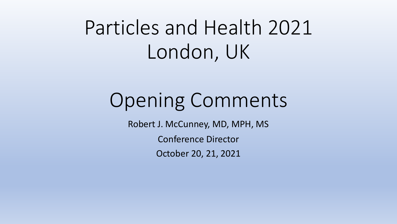# Particles and Health 2021 London, UK

# Opening Comments

Robert J. McCunney, MD, MPH, MS

Conference Director

October 20, 21, 2021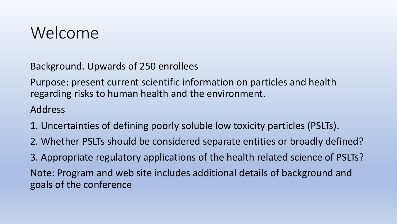### Welcome

Background. Upwards of 250 enrollees

Purpose: present current scientific information on particles and health regarding risks to human health and the environment.

#### Address

- 1. Uncertainties of defining poorly soluble low toxicity particles (PSLTs).
- 2. Whether PSLTs should be considered separate entities or broadly defined?

3. Appropriate regulatory applications of the health related science of PSLTs? Note: Program and web site includes additional details of background and goals of the conference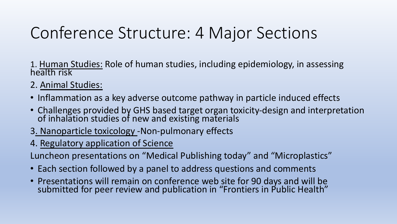## Conference Structure: 4 Major Sections

- 1. Human Studies: Role of human studies, including epidemiology, in assessing<br>health risk
- 2. Animal Studies:
- Inflammation as a key adverse outcome pathway in particle induced effects
- Challenges provided by GHS based target organ toxicity-design and interpretation of inhalation studies of new and existing materials
- 3. Nanoparticle toxicology -Non-pulmonary effects
- 4. Regulatory application of Science

Luncheon presentations on "Medical Publishing today" and "Microplastics"

- Each section followed by a panel to address questions and comments
- Presentations will remain on conference web site for 90 days and will be submitted for peer review and publication in "Frontiers in Public Health"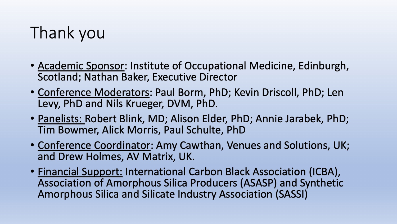# Thank you

- Academic Sponsor: Institute of Occupational Medicine, Edinburgh, Scotland; Nathan Baker, Executive Director
- Conference Moderators: Paul Borm, PhD; Kevin Driscoll, PhD; Len Levy, PhD and Nils Krueger, DVM, PhD.
- Panelists: Robert Blink, MD; Alison Elder, PhD; Annie Jarabek, PhD; Tim Bowmer, Alick Morris, Paul Schulte, PhD
- Conference Coordinator: Amy Cawthan, Venues and Solutions, UK; and Drew Holmes, AV Matrix, UK.
- Financial Support: International Carbon Black Association (ICBA), Association of Amorphous Silica Producers (ASASP) and Synthetic Amorphous Silica and Silicate Industry Association (SASSI)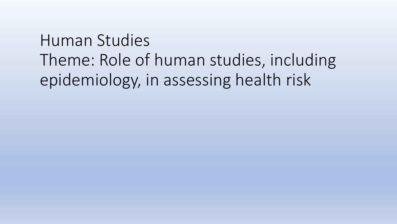# Human Studies Theme: Role of human studies, including epidemiology, in assessing health risk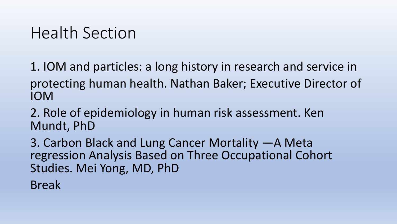#### Health Section

1. IOM and particles: a long history in research and service in protecting human health. Nathan Baker; Executive Director of IOM

2. Role of epidemiology in human risk assessment. Ken Mundt, PhD

3. Carbon Black and Lung Cancer Mortality —A Meta regression Analysis Based on Three Occupational Cohort Studies. Mei Yong, MD, PhD

Break